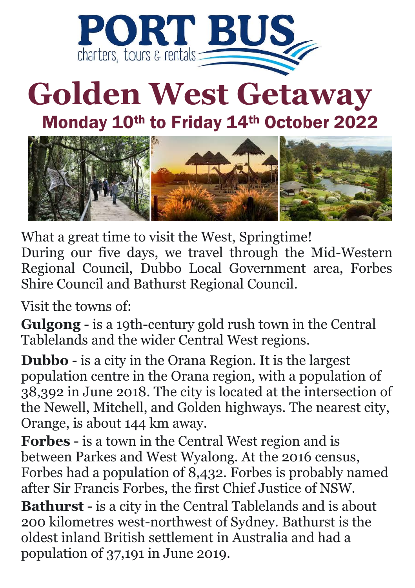

## **Golden West Getaway**

Monday 10th to Friday 14th October 2022



What a great time to visit the West, Springtime! During our five days, we travel through the Mid-Western Regional Council, Dubbo Local Government area, Forbes Shire Council and Bathurst Regional Council.

Visit the towns of:

**Gulgong** - is a 19th-century gold rush town in the Central Tablelands and the wider Central West regions.

**Dubbo** - is a city in the Orana Region. It is the largest population centre in the Orana region, with a population of 38,392 in June 2018. The city is located at the intersection of the Newell, Mitchell, and Golden highways. The nearest city, Orange, is about 144 km away.

**Forbes** - is a town in the Central West region and is between Parkes and West Wyalong. At the 2016 census, Forbes had a population of 8,432. Forbes is probably named after Sir Francis Forbes, the first Chief Justice of NSW. **Bathurst** - is a city in the Central Tablelands and is about 200 kilometres west-northwest of Sydney. Bathurst is the oldest inland British settlement in Australia and had a population of 37,191 in June 2019.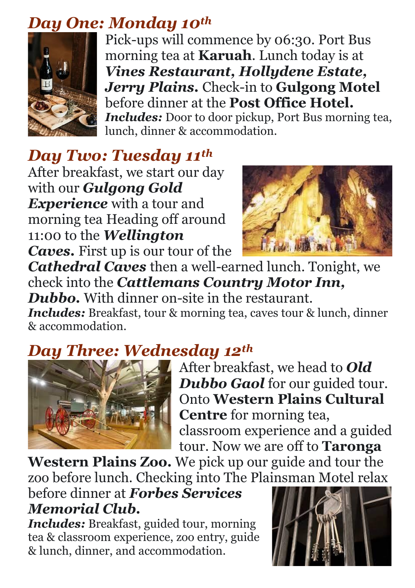#### *Day One: Monday 10th*



Pick-ups will commence by 06:30. Port Bus morning tea at **Karuah**. Lunch today is at *Vines Restaurant, Hollydene Estate, Jerry Plains.* Check-in to **Gulgong Motel**  before dinner at the **Post Office Hotel.**  *Includes:* Door to door pickup, Port Bus morning tea, lunch, dinner & accommodation.

## *Day Two: Tuesday 11th*

After breakfast, we start our day with our *Gulgong Gold Experience* with a tour and morning tea Heading off around 11:00 to the *Wellington Caves.* First up is our tour of the



*Cathedral Caves* then a well-earned lunch. Tonight, we check into the *Cattlemans Country Motor Inn, Dubbo.* With dinner on-site in the restaurant.

*Includes:* Breakfast, tour & morning tea, caves tour & lunch, dinner & accommodation.

### *Day Three: Wednesday 12th*



After breakfast, we head to *Old Dubbo Gaol* for our guided tour. Onto **Western Plains Cultural Centre** for morning tea, classroom experience and a guided tour. Now we are off to **Taronga** 

**Western Plains Zoo.** We pick up our guide and tour the zoo before lunch. Checking into The Plainsman Motel relax

before dinner at *Forbes Services Memorial Club.*

*Includes:* Breakfast, guided tour, morning tea & classroom experience, zoo entry, guide & lunch, dinner, and accommodation.

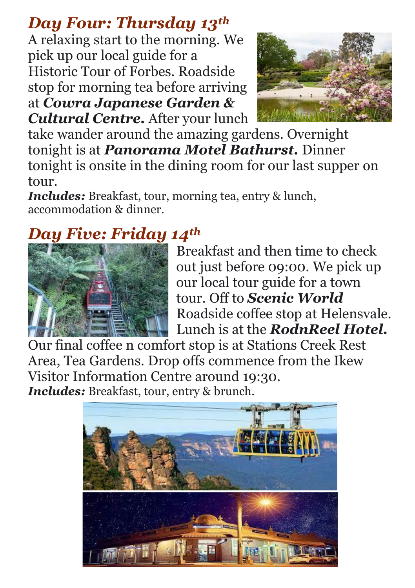## *Day Four: Thursday 13th*

A relaxing start to the morning. We pick up our local guide for a Historic Tour of Forbes. Roadside stop for morning tea before arriving at *Cowra Japanese Garden & Cultural Centre.* After your lunch



take wander around the amazing gardens. Overnight tonight is at *Panorama Motel Bathurst.* Dinner tonight is onsite in the dining room for our last supper on tour.

*Includes:* Breakfast, tour, morning tea, entry & lunch, accommodation & dinner.

## *Day Five: Friday 14th*



Breakfast and then time to check out just before 09:00. We pick up our local tour guide for a town tour. Off to *Scenic World*  Roadside coffee stop at Helensvale. Lunch is at the *RodnReel Hotel.* 

Our final coffee n comfort stop is at Stations Creek Rest Area, Tea Gardens. Drop offs commence from the Ikew Visitor Information Centre around 19:30. *Includes:* Breakfast, tour, entry & brunch.